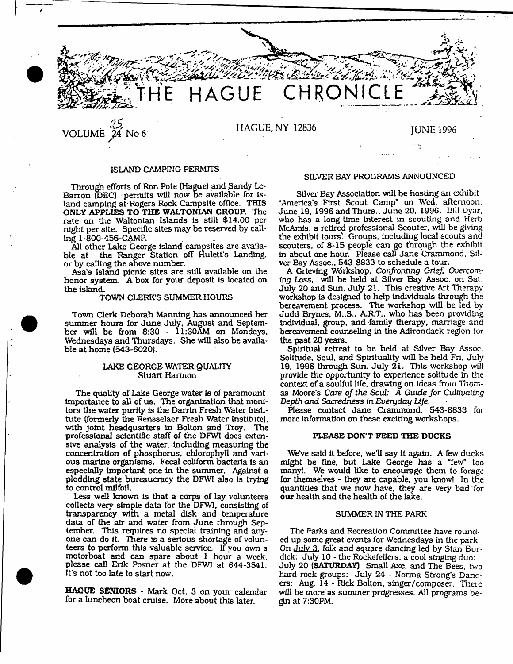

# ISLAND CAMPING PERMITS

Through efforts of Ron Pote (Hague) and Sandy Le-Barron (DEC) • permits will now be available for Island camping at Rogers Rock Campsite office. THIS ONLY APPLIES TO THE WALTONIAN GROUP. The rate on the Waltonian Islands is still \$14.00 per night per site. Specific sites may be reserved by calling 1-800-456-CAMP.

All other Lake George island campsites are available at the Ranger Station off Hulett's Landing. or by calling the above number.

Asa's Island picnic sites are still available on the honor system. A box for your deposit is located on the island.

#### TOWN CLERK'S SUMMER HOURS

Town Clerk Deborah Manning has announced her summer hours for June July, August and September will be from 8:30 - 11:30AM on Mondays, Wednesdays and Thursdays. She will also be available at home (543-6020).

### LAKE GEORGE WATER QUALITY Stuart Harmon

The quality of Lake George water is of paramount importance to all of us. The organization that monitors the water purity is the Darrin Fresh Water Institute (formerly the Rensselaer Fresh Water Institute), with joint headquarters in Bolton and Troy. The professional scientific staff of the DFW1 does extensive analysis of the water, including measuring the concentration of phosphorus, chlorophyll and various marine organisms. Fecal coliform bacteria is an especially important one in the summer. Against a plodding state bureaucracy the DFWI also is trying to control milfoil.

Less well known Is that a corps of lay volunteers collects very simple data for the DFWI, consisting of transparency with a metal disk and temperature data of the air and water from June through September, This requires no special training and anyone can do it. There is a serious shortage of volunteers to perform this valuable service. If you own a motorboat and can spare about 1 hour a week, please call Erik Posner at the DFWI at 644-3541. It's not too late to start now.

HAGUE SENIORS - Mark Oct. 3 on your calendar for a luncheon boat cruise. More about this later.

### SILVER BAY PROGRAMS ANNOUNCED

Silver Bay Association will be hosting an exhibit "America's First Scout Camp" on Wed. afternoon. June 19. 1996 and Thurs., June 20, 1996. Dili Dyar. who has a long-Ume interest in scouting and Herb McAmis, a retired professional Scouter, will be giving the exhibit tours' Groups, including local scouts and scouters. of 8-15 people can go through the exhibit In about one hour. Please call Jane Crammond. Silver Bay Assoc., 543-8833 to schedule a tour.

A Grieving Workshop, *Confronting GrieJ, Overcoming* Loss, will be held at Silver Bay Assoc, on Sat. July 20 and Sun. July 21. This creative Art Therapy workshop is designed to help individuals through the bereavement process. The workshop will be led by Judd Brynes, M..S., A.R.T., who has been providing individual, group, and family therapy, marriage and bereavement counseling in the Adirondack region for the past 20 years.

Spiritual retreat to be held at Sliver Bay Assoc. Solitude, Soul, and Spirituality will be held Fri. July 19, 1996 through Sun, July 21. This workshop will provide the opportunity to experience solitude in the context of a soulful life, drawing on ideas **from** Thomas Moore's *Care of the* Soul: A Guide *Jor Cultivating Depth and Sacredness* in *Everyday Life*.

Please contact Jane Crammond. 543-8833 for more information on these exciting workshops.

#### PLEASE DON'T PEED THE DUCKS

We've said it before, we'll say it again. A few ducks might be fine, but Lake George has a "few" too many!. We would like to encourage them to forage for themselves - they are capable, you know! In the quantities that we now have, they are very bad for our health and the health of the lake.

### SUMMER IN THE PARK

The Parks and Recreation Committee have rounded up some great events for Wednesdays in the park. On July 3. folk and square dancing led by Stan Burdick: July 10 - the Rockefellers, a cool singing duo: July 20 (SATURDAY) Small Axe, and The Bees, two hard rock groups: July 24 - Norma Strong's Dancers: Aug. 14 - Rick Bolton, singer/composer. There will be more as summer progresses. All programs begin at 7:30PM.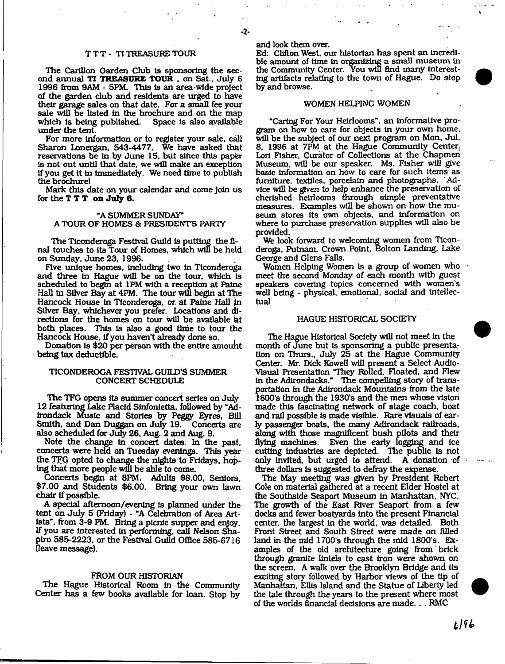#### T T T - TI TREASURE TOUR

The Carillon Garden Club Is sponsoring the second annual **TI TREASURE TOUR** . on Sat., July 6 1996 from 9AM - 5PM. This is an area-wide project of the garden dub and residents are urged to have their garage sales on that date. For a small fee your sale will be listed in the brochure and on the map which is being published. Space is also available which is being published. under the tent.

For more Information or to register your sale, call Sharon Lonergan, 543-4477. We have asked that reservations be in by June 15, but since this paper Is not out until that date, we will make an exception If you get It In Immediately. We need time to publish the brochure!

Mark this date on your calendar and come Join us for the **T T T** on July 6.

### "A SUMMER SUNDAY" A TOUR OF HOMES & PRESIDENTS PARTY

The Tlconderoga Festival Guild is putting the final touches to its Tour of Homes, which will be held on Sunday, June 23, 1996.

Five unique homes. Including two In Tlconderoga and three In Hague will be on the tour, which is scheduled to begin at 1PM with a reception at Paine Hall In Sliver Bay at 4PM. The tour will begin at The Hancock House In Tlconderoga, or. at Paine Hall in Silver Bay, whichever you prefer. Locations and directions for the homes on tour will be available at both places. This is also a good time to tour the Hancock House, if you haven't already done so.

Donation is \$20 per person with the entire amount being tax deductible.

### TICONDEROGA FESTIVAL GUILD'S SUMMER CONCERT SCHEDULE

The TFG opens its summer concert series on July 12 featuring Lake Placid Sinfonietta, followed by "Adirondack Music and Stories by Peggy Eyres, Bill Smith, and Dan Duggan on July 19. also scheduled for July 26, Aug. 2 and Aug. 9.

Note the change in concert dates. In the past, concerts were held on Tuesday evenings. This yekr the. TFG opted to change the nights to Fridays, hoping that more people will be able to come.

Concerts begin at 8PM. Adults \$8.00, Seniors, \$7.00 and Students \$6.00. Bring your own lawn chair if possible.

A special afternoon/evening Is planned under the tent on July 5 (Friday) - "A Celebration of Area Artists", from 3-9 PM. Bring a picnic supper and enjoy. If you are Interested in performing, call Nelson Shapiro 585-2223, or the Festival Guild Office 585-6716 (leave message).

#### FROM OUR HISTORIAN

The Hague Historical Room In the Community Center has a few books available for loan. Stop by and look them over.

Ed: Clifton West, our historian has spent an incredible amount of time in organizing a small museum In the Community Center. You will find many Interesting artifacts relating to the town of Hague. Do stop by and browse.

#### WOMEN HELPING WOMEN

"Caring For Your Heirlooms", an Informative program on how to care for objects In your own home, will he the subject of our next program on Mon, Jul. 8, 1996 at 7PM at the Hague Community Center. Lori Fisher, Curator of Collections at the Chapmen Museum, will be our speaker. Ms. Fisher will give basic Information on how to care for such Items as furniture, textiles, porcelain and photographs. 'Advice will be given to help enhance the preservation of cherished heirlooms through simple preventative measures. Examples will be shown on how the museum stores Its own objects, and Information on where to purchase preservation supplies will also be provided.

We look forward to welcoming women from Ticonderoga, Putnam, Crown Point, Bolton Landing, lake George and Glens Falls.

Women Helping Women is a group of women who meet the second Monday of each month with guest speakers covering topics concerned with women's well being - physical, emotional, social and intellectual

### HAGUE HISTORICAL SOCIETY

The Hague Historical Society will not meet In the month of June but Is sponsoring a public presenta: tion on Thurs., July 25 at the Hague Community Center. Mr. Dick Kowefl will present a Select Audio-Visual Presentation "They Rolled, Floated, and Flew in the Adirondacks." The compelling story of transportation in the Adirondack Mountains from the late 1800's through the 1930's and the men whose vision made this fascinating network of stage coach, boat and rail possible Is made visible. Rare visuals of early passenger boats, the many Adirondack railroads, along with those magnificent bush pilots and their flying machines. Even the early logging and ice cutting Industries are depicted. The public Is not only invited, but urged to attend. A donation of three dollars Is suggested to defray the expense.

The May meeting was given by President Robert Cole on material gathered at a recent Elder Hostel at the Southslde Seaport Museum In Manhattan, NYC. The growth of the East River Seaport from a few docks and fewer boatyards Into the present Financial center, the largest In the world, was detailed. Both Front Street and South Street were made on filled land in the mid 1700's through the mid 1800's. Examples of the old architecture going from brick through granite lintels to cast Iron were shown on the screen. A walk over the Brooklyn Bridge and its exciting story followed by Harbor views of the tip of Manhattan, EUls Island and the Statue of Liberty led the tale through the years to the present where most of the worlds financial decisions are made. . . RMC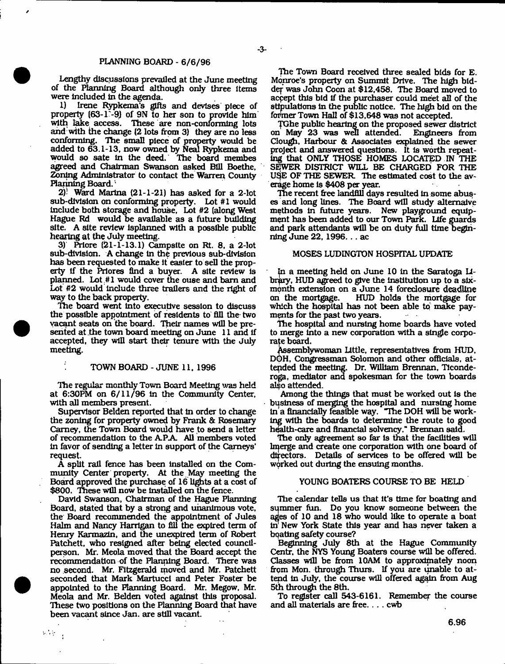### PLANNING BOARD - 6/6/96

Lengthy discussions prevailed at the June meeting of the Planning Board although only three Items were Included in the agenda.

1) Irene Rypkema's gifts and devises piece of property (63-1-9) of 9N to her son to provide him with lake access. These are non-conforming lots and with the change (2 lots from 3) they are no less conforming. The small piece of property would be added to 63.1-13, now owned by Neal Rypkema and would so sate in the deed. The board membes agreed and Chairman Swanson asked Bill Boethe, Zoning Administrator to contact the Warren County Planning Board.

*2)* Ward Marina (21-1-21) has asked for a 2-lot sub-division on conforming property. Lot #1 would Include both storage and house, Lot #2 (along West Hague Rd would be available as a future building site. A site review lsplanned with a possible public hearing at the July meeting.

3) Priore  $(21-1-13.1)$  Campsite on Rt. 8, a 2-lot sub-division. A change in the previous sub-division has been requested to make it easier to sell the property if the Prlores find a buyer. A site review is planned. Lot #1 would cover the ouse and barn and Lot #2 would include three trailers and the right of way to the back property.

The board went into executive session to discuss the possible appointment of residents to fill the two vacant seats on the board. Their names will be presented at the town board meeting on June 11 and If accepted, they will start their tenure with the July meeting.

#### TOWN BOARD - JUNE 11. 1996

The regular monthly Town Board Meeting was held at 6:30PM on 6/11/96 in the Community Center, with all members present.

Supervisor Belden reported that in order to change the zoning for property owned by Frank & Rosemary Carney, the Town Board would have to send a letter of recommendation to the A PA. All members voted in favor of sending a letter in support of the Carneys' request

A split rail fence has been Installed on the Community Center property. At the May meeting the Board approved the purchase of 16 lights at a cost of \$800. These will now be Installed on the fence.

David Swanson, Chairman of the Hague Planning Board, stated that by a strong and unanimous vote, the Board recommended the appointment of Jules Halm and Nancy Harrigan to fill the expired term of Henry Karmazin, and the unexpired term of Robert Patchett, who resigned after being elected councilperson. Mr. Meola moved that the Board accept the recommendation of the Planning Board. There was no second. Mr. Fitzgerald moved and Mr. Patchett seconded that Mark MartuccI and Peter Foster be appointed to the Hanning Board. Mr. Megow, Mr. Meola and Mr. Belden voted against this proposal. These two positions on the Planning Board that have been vacant since Jan. are still vacant.

 $\Delta\tau_{\rm eff}$ 

The Town Board received three sealed bids for E. Monroe's property on Summit Drive. The high biddef was John Coon at \$12,458. The Board moved to accept this bid if the purchaser could meet all of the stipulations in the public notice. The high bid on the former Town Hall of \$13,648 was not accepted.

TXlhe public hearing on the proposed sewer district on May 23 was well attended. Clough, Harbour & Associates explained the sewer project and answered questions. It is worth repeating that ONLY THOSE HOMES LOCATED IN THE SEWER DISTRICT WILL BE CHARGED FOR THE U\$E OF THE SEWER The estimated cost to the average home Is \$408 per year.

The recent free landfill days resulted in some abuses and long lines. The Board will study altemaive methods in future years. New playground equipment has been added to our Town Park. Life guards and park attendants will be on duty full time beginning June 22, 1996... ac

#### MOSES LUDINGTON HOSPITAL UPDATE

*lp.* a meeting held on June 10 in the Saratoga Library, HUD agreed to give the Institution up to a slxmonth extension on a June 14 foreclosure deadline<br>on the mortgage. HUD holds the mortgage for on the mortgage. HUD holds the mortgage for which the hospital has not been able to make payments for the past two years.

The hospital and nursing home boards have voted to merge into a new corporation with a single corporate board.

Assemblywoman little, representatives from HUD, DOH, Congressman Solomon and other officials, attended the meeting. Dr. William Brennan, Ticonderoga, mediator and spokesman for the town boards also attended.

Among the things that must be worked out is the business of merging the hospital and nursing home in a financially feasible way. "The DOH will be working with the boards to determine the route to good health-care and financial solvency." Brennan said.

The only agreement so far is that the facilities will lmerge and create one corporation with one board of directors. Details of services to be offered will be worked out during the ensuing months.

# YOUNG BOATERS COURSE TO BE HELD

The calendar tells us that it's time for boating and summer fun. Do you know someone between the ages of 10 and 18 who would like to operate a boat in New York State this year and has never taken a bqating safety course?

Beginning July 8th at the Hague Community Centr, the NYS Young Boaters course will be offered. Classes will be from 10AM to approximately noon from Mon. through Thurs. If you are unable to attend In July, the course will offered again from Aug 5th through the 8th.

To register call 543-6161. Remember the course and all materials are free. . . . cwb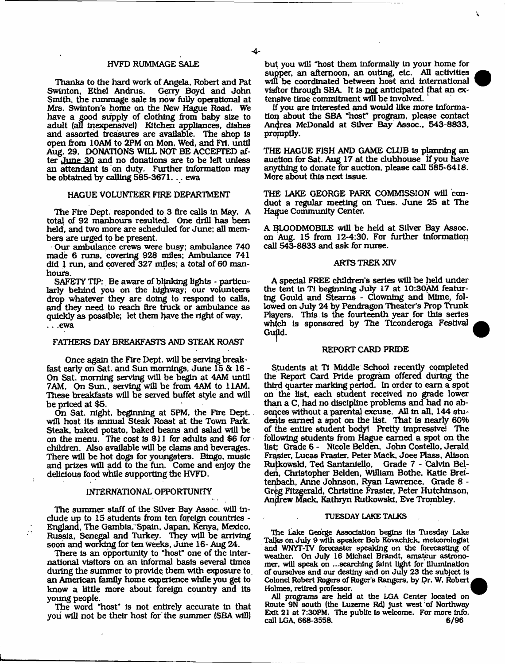#### HVFD RUMMAGE SALE

Thanks to the hard work of Angela, Robert and Pat Swinton, Ethel Andrus. Smith, the rummage sale is now fully operational at Mrs. Swinton's home on the New Hague Road. We have a good supply of clothing from baby size to adult (all Inexpensive!) Kitchen appliances, dishes and assorted treasures are available. The shop is open from 10AM to 2PM on Mon, Wed, and Fri. until Aug. 29. DONATIONS WILL NOT BE ACCEPTED after June 30 and no donations are to be left unless an attendant Is on duty. Further Information may be obtained by calling 565-3671. .. ewa

#### HAGUE VOLUNTEER FIRE DEPARTMENT

The Ftre Dept, responded to 3 flre calls in May. A total of 92 manhours resulted. One drill has been held, and two more are scheduled for June; all members are urged to be present.

Our ambulance crews were busy; ambulance 740 made 6 runs, covering 928 miles; Ambulance 741 did I run, and covered 327 miles; a total of 60 manhours.

SAFETY TIP: Be aware of blinking lights - particularly behind you on the highway; our volunteers drop whatever they are doing to respond to calls, and they need to reach fire truck or ambulance as quickly as possible; let them have the right of way. . . .ewa

#### FATHERS DAY BREAKFASTS AND STEAK ROAST

Once again the Fire Dept, will be serving breakfast early on Sat. and Sun mornings, June 15 & 16 - On Sat, morning serving will be begin at 4AM until 7AM. On Sun., serving will be from 4AM to 11AM. These breakfasts will be served buffet style and will be priced at \$5.

On Sat. night, beginning at 5PM, the Fire Dept, will host Its annual Steak Roast at the Town Park. Steak, baked potato, baked beans and salad will be on the menu. The cost is \$11 for adults and \$6 for children. Also available will be clams and beverages. There will be hot dogs for youngsters. Bingo, music and prizes will add to the fun. Come and enjoy the delicious food while supporting the HVFD.

### INTERNATIONAL OPPORTUNFIY

The summer staff of the Silver Bay Assoc, will Include up to 15 students from ten foreign countries - England, The Gambia, Spain, Japan, Kenya, Mexico, Russia, Senegal and Turkey. They will be arriving soon and working for ten weeks, June 16- Aug 24.

There is an opportunity to "host" one of the international visitors on an informal basis several times during the summer to provide them with exposure to, an American family home experience while you get to know a little more about foreign country and its young people.

The word "host" is not entirely accurate In that you will not be their host for the summer (SBA will)

but; you will "host them informally in your home for supper, an afternoon, an outing, etc. All activities will be coordinated between host and International visitor through SBA It Is not anticipated that an extensive time commitment will be involved.

If you are Interested and would like more Information about the SBA \*host" program, please contact Andrea McDonald at Silver Bay Assoc.. 543-8833, promptly.

THE HAGUE FISH AND GAME CLUB Is planning an auction for Sat. Aug 17 at the clubhouse if you have anything to donate far auction, please call 585-6418. More about this next Issue.

THE LAKE GEORGE PARK COMMISSION will conduot a regular meeting on Tues. June 25 at The Hague Community Center.

A BLOODMOBILE will be held at Silver Bay Assoc. on Aug. 15 from 12-4:30. For further Information call 543-8833 and ask for nurse.

#### ARTS TREK XIV

A special FREE children's series will be held under the tent In TI beginning July 17 at 10:30AM featuring Gould and Stearns - Clowning and Mime, followed on July 24 by Pendragon Theater's Prop Trunk Players. This is the fourteenth year for this series which Is sponsored by The Tlconderoga Festival Guild.

#### REPORT CARD PRIDE

Students at TI Middle School recently completed the Report Card Pride program offered during the third quarter marking period. In order to earn a spot on the list, each student received no grade lower than a C, had no discipline problems and had no absences without a parental excuse. AH in all, 144 students earned a spot on the list. That is nearly 60% of the entire student bodyt Pretty Impressive! The following students from Hague earned a spot on the list: Grade 6 - Nicole Belden, John Costello, Jerald Frasier, Ureas Frasier, Peter Mack, Joee Plass, Alison Rulkowskl, Ted Santanlello, Grade 7 - Calvin Belden, Christopher Belden, William Bothe, Katie Breltenbach, Anne Johnson, Ryan Lawrence, Grade 8 - Gr^g Fitzgerald, Christine Frasier, Peter Hutchinson, Andrew Mack, Kathryn Rutkowski, Eve Trombley.

#### TUESDAY LAKE TALKS

The Lake George Association begins Its Tuesday Lake Talks on July 9 with speaker Bob Kovachick. meteorologist and WNYT-TV forecaster speaking on the forecasting of weather. On July 16 Michael Brandt, amateur astronomer, will speak on ...searching faint light for illumination of ourselves and our destiny and on Jury 23 the subject is Colonel Robert Rogers of Roger's Rangers, by Dr. W. Robert Holmes, retired professor.

All programs are held at the LGA Center located on Route 9N south (the Luzerne Rd) just west of Northway Exit 21 at 7:30PM. The public Is welcome. For more Info, call LGA, 668-3558. 6/96

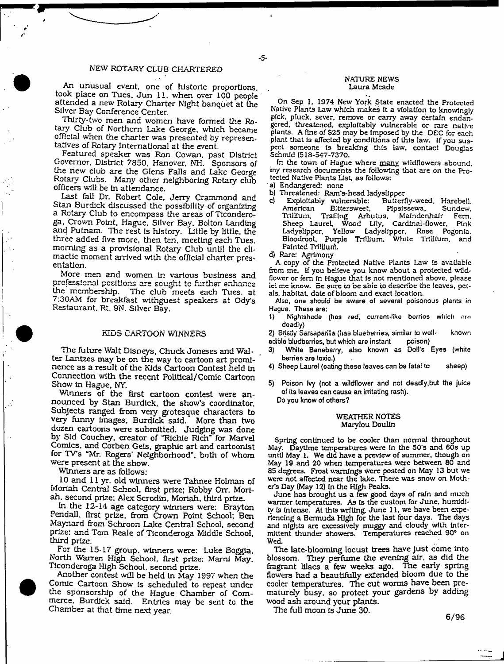### NEW ROTARY CLUB CHARTERED

An unusual event, one of historic proportions, took place on Tues, Jun 11, when over 100 people attended a new Rotary Charter Night banquet at the Silver Bay Conference Center.

Thirty-two men and women have formed the Rotary Club of Northern Lake George, which became official when the charter was presented by representatives of Rotary International at the event.

Featured speaker was Ron Cowan, past District Governor. District 7850, Hanover, NH. Sponsors of the new club are the Glens Fails and Lake George Rotary Clubs. Many other neighboring Rotary club officers will be In attendance.

Last fall Dr. Robert Cole, Jerry Crammond and Stan Burdick discussed the possibility of organizing a Rotary Club to encompass the areas of Ticonderoga, Crown Point, Hague. Silver Bay. Bolton Landing and Putnam. The rest is history. Little by little, the three added five more, then ten, meeting each Tues. morning as a provisional Rotary Club until the climactic moment arrived with the official charter presentation.

More men and women in various business and professional positions are sought to further enhance the membership. The club meets each Tues. at 7:30AM for breakfast withguest speakers at Ody's Restaurant, Rt. 9N. Silver Bay.

#### KIDS CARTOON WINNERS

The future Wait Disneys, Chuck Joneses and Wal- . ter Lantzes may be on the way to cartoon art prominence as a result of the Kids Cartoon Contest held in Connection with the recent Political/Comic Cartoon Show in Hague, NY.

Winners of the first cartoon contest were an nounced by Stan Burdick, the show's coordinator. Subjects ranged from very grotesque characters to very funny images, Burdick said. More than two dozen cartoons were submitted. Judging was done by Sid Couchey, creator of "Richie Rich" for Marvel Comics, and Corben Gels, graphic art and cartoonist for TV's "Mr. Rogers' Neighborhood", both of whom were present at the show.

Winners are as follows:

10 and 11 yr. old winners were Tahnee Holman of Moriah Central School, first prize; Robby Orr, Moriah, second prize; Alex Scrodin, Moriah, third prize.

In the 12-14 age category winners were: Brayton Pendall. first prize, from Crown Point School; Ben Maynard from Schroon Lake Central School, second prize; and Torn Reale of Tlconderoga Middle School, third prize.

For the 15-17 group, winners were: Luke Boggia. North Warren High School, first prize: Marni May, Tlconderoga High School, second prize.

Another contest will be held iri May 1997 when the Comic Cartoon Show Is scheduled to repeat under the sponsorship of the Hague Chamber of Commerce, Burdick said. Entries may be sent to the Chamber at that time next year.

#### NATURE NEWS Laura Meade

On Sep 1, 1974 New York State enacted the Protected Native Plants Law which makes It a violation to knowingly pick, pluck, sever, remove or carry away certain endangered, threatened, exploitably vulnerable or rare native plants. A fine of \$25 may be Imposed by the DEC for each plant that is affected by conditions of this law. If you suspect someone is breaking this law, contact Douglas Schmid (518-547-7370.

In the town of Hague where many wildflowers abound, my research documents the following that are on the Protected Native Plants List, as follows:

a) Endangered: none

- 5-

- 
- b) Threatened: Ram's-head ladyslipper<br>c) Exploitably vulnerable: Butterfly-weed, Harebell. cj Exploitably vulnerable: Butterfly-weed, Harebell. Bittersweet, Pipsissewa,<br>Trailing Arbutus, Mainder Trillium, Trailing Arbutus. Maindenhair Fern. Sheep Laurel, Wood Lily, Cardinal-flower, Pink<br>Ladyslipper, Yellow Ladyslipper, Rose Pogonia, Yellow Ladyslipper, Rose Pogonia, Bioodroot, Purpie Trillium. White Trillium, and Painted Trilliurfi.
- d) Rare: Agrimony

A copy of the Protected Native Plants Law is available from me. If you believe you know about a protected wildflower or fern in Hague that is not mentioned above, please ici me know. Be sure to be able to describe the leaves, petals, habitat, date of bloom and exact location.

Also, one should be aware of several poisonous plants in Hague. These are:

1) Nightshade (has red, currant-like berries which are deadly)

2) Bristly Sarsaparilla (has bluebutries, similar to well- known edible bludberries, but which are instant poison)

- 3) White Baneberry, also known as Doll's Eyes (white berries are toxic.)
- 4) Sheep Laurel (eating these leaves can be fatal to sheep)
- 5) Poison (vy (not a wildflower and not deadly,but the juice of Its leaves can cause an irritating rash). Do you know of others?

#### WEATHER NOTES Marylou Doulln

Spring continued to be cooler than normal throughout May. Daytime temperatures were in the 50's and 60s up until May 1. We did have a preview of summer, though on May 19 and 20 when temperatures were between 80 and 85 degrees. Frost warnings were posted on May 13 but we were not affected near the lake. There was snow on Mother's Day (May 12) in the High Peaks.

June has brought us a few good days of rain and much warmer temperatures. As Is the custom for June, humidity is intense. At this writing, June 11, we have been experiencing a Bermuda High for the last four days. The days and nights are excessively muggy and cloudy with intermittent thunder showers. Temperatures reached 90° on Wed

The late-blooming locust trees have Just come Into blossom. They perfume the evening air, as did the fragrant lilacs a few weeks ago. The early spring flowers had a beautifully extended bloom due to the cooler temperatures. The cut worms have been prematurely busy, so protect your gardens by adding wood ash around your plants.

The full mcon is June 30.

6/96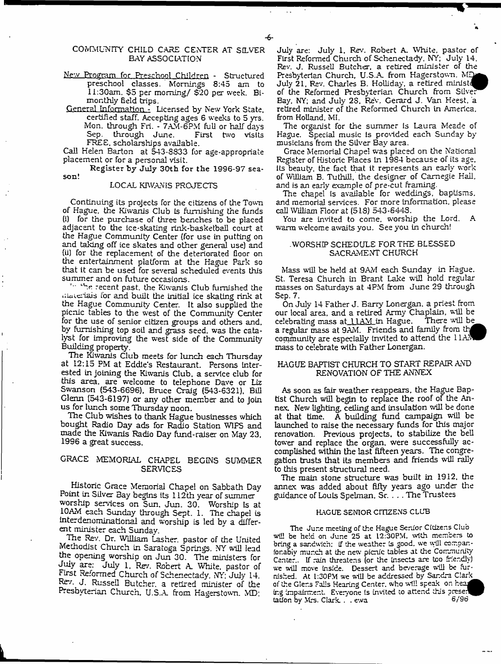## COMMUNITY CHILD CARE CENTER AT SILVER BAY ASSOCIATION

- New Program for Preschool Children Structured preschool classes. Mornings 8:45 am to 11:30am. \$5 per morning/ \$'20 per week. Bimonthly field trips.
- General Information Licensed by New York State, certified staff. Accepting ages 6 weeks to 5 yrs. Mon. through Fri. - 7AM-6PM full or half days Sep. through June. First two visits FREE, scholarships available.

Call Helen Barton at 543-8833 for age-appropriate placement or for a personal visit.

R egister by July 30th for the 1996-97 season!

#### LOCAL KIWANIS PROJECTS

Continuing its projects for the citizens of the Town of Hague, the Kiwanis Club Is furnishing the funds (i) for the purchase of three benches to be placed adjacent to the ice-skating rink-basketball court at the Hague Community Center (for use in putting on and taking off ice skates and other general use) and (ii) for the replacement of the deteriorated floor on the entertainment platform at the Hague Park so that it can be used for several scheduled events this summer and on future occasions.

the recent past, the Kiwanis Club furnished the ukiicriais ior and built the initial ice skating rink at the Hague Community Center. It also supplied the picnic tables to the west of the Community Center for the use of senior citizen groups and others and, by furnishing top soil and grass seed, was the catalyst for improving the west side of the Community Building property.

The Kiwanis Club meets for lunch each Thursday at 12:15 PM at Eddie's Restaurant. Persons Interested in joining the Kiwanis Club, a service club for this area, are welcome to telephone Dave or Liz Swanson (543-6696), Bruce Craig (543-6321), Bill Glenn (543-6197) or any other member and to Join us for lunch some Thursday noon.

The Club wishes to thank Hague businesses which bought Radio Day ads for Radio Station W1FS and made the Kiwanis Radio Day fund-raiser on May 23. 1996 a great success.

# GRACE MEMORIAL CHAPEL BEGINS SUMMER SERVICES

Historic Grace Memorial Chapel on Sabbath Day Point in Silver Bay begins its 112th year of summer worship services on Sun, Jun. 30. Worship Is at 10AM each Sunday through Sept. 1. The chapel is interdenominational and worship is led by a different minister each Sunday.

The Rev. Dr. William Lasher, pastor of the United Methodist Church in Saratoga Springs. NY will lead the opening worship on Jun 30. The ministers for July are: July 1, Rev. Robert A\_ White, pastor of First Reformed Church of Schenectady, NY: July 14. Rev. J. Russell Butcher, a retired minister of the Presbyterian Church, U.S.A. from Hagerstown. MD:

July are: July 1. Rev. Robert A. White, pastor of First Reformed Church of Schenectady. NY; July 14. Rev. J. Russell Butcher, a retired minister of the Presbyterian Church, U.S.A. from Hagerstown. MD July 21, Rev. Charles B. Holliday, a retired ministd of the Reformed Presbyterian Church from Silver Bay, NY; and July 2S. Rev, Gerard J. Van Keest. a retired minister of the Reformed Church in America, from Holland, MI.

The organist for the summer is Laura Meade of Hague. Special music is provided each Sunday by musicians from the Silver Bay area.

Grace Memorial Chape! was placed on the National Register of Historic Places In 19S4 because of its age, its beauty, the fact that it represents an early work of William B. Tuthill, the designer of Carnegie Hall, and is an early example of pre-cut framing.

The chapel is available for weddings, baptisms, and memorial services. For more information, please call William Floor at (5 IS) 543-6443.

You are invited to come, worship the Lord. A warm welcome awaits you. See you in church!

#### .WORSHIP SCHEDULE FOR THE BLESSED SACRAMENT CHURCH

Mass will be held at 9AM each Sunday in Hague. St. Teresa Church in Brant Lake will hold regular masses on Saturdays at 4PM from June 29 through Sep. 7.

On July 14 Father J. Barry Lonergan, a priest from our local area, and a retired Army Chaplain, will be celebrating mass at 11AM in Hague. There will be celebrating mass at 11AM in Hague. a regular mass at 9AM. Friends and family from th^^B community are especially invited to attend the 11AM mass to celebrate with Father Lonergan.

### HAGUE BAPTIST CHURCH TO START REPAIR AND RENOVATION OF THE ANNEX

As soon as fair weather reappears, the Hague Baptist Church will begin to replace the roof of the Annex. New lighting, ceiling and insulation will be done at that time. A building fund campaign will be launched to raise the necessary funds for this major renovation. Previous projects, to stabilize the bell tower and replace the organ, were successfully accomplished within the last fifteen years. The congregation trusts that its members and friends will rally to this present structural need.

The main stone structure was built in 1912, the annex was added about fifty years ago under the guidance of Louis Spelman, Sr. . .. The Trustees

# HAGUE SENIOR CITIZENS CLUB

The Jur.e meeting of the Hague Senior Citizens Club will be held on June 25 at 12:30PM, with members to bring a sandwich: if the weather is good, we wall ccmpanfor.abiv munch at the new picnic tables at the Community Center,. If rain threatens (or the insects are too friendly) we will move inside. Dessert and beverage will be furnished. At 1:30PM we will be addressed by Sandra C!ark\_ of the Glens Falls Hearing Center, who will speak on ing impairment. Everyone is invited to attend this preser tation by Mrs. Clark. . . ewa 6/96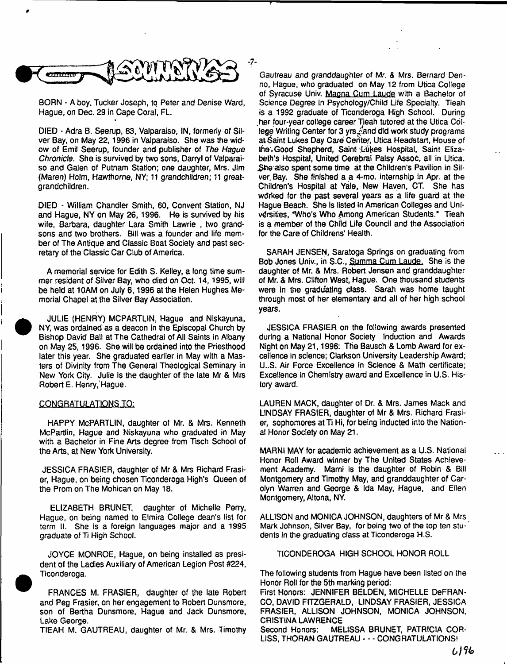

**BORN - A boy. Tucker Joseph, to Peter and Denise Ward, Hague, on Dec. 29 in Cape Coral, FL.**

**DIED \* Adra B. Seerup, 83, Valparaiso, IN, formerly of Silver Bay, on May 22,1996 in Valparaiso. She was the widow of Emil Seerup, founder and publisher of** *The Hague Chronicle***. She is survived by two sons, Darryl of Valparaiso and Galen of Putnam Station; one daughter, Mrs. Jim (Maren) Holm, Hawthorne, NY; 11 grandchildren; 11 greatgrandchildren.**

**DIED - William Chandler Smith, 60, Convent Station, NJ and Hague, NY on May 26,1996. He is survived by his wife, Barbara, daughter Lara Smith Lawrie , two grandsons and two brothers. Bill was a founder and life member of The Antique and Classic Boat Society and past secretary of the Classic Car Club of America.**

**A memorial service for Edith S. Kelley, a long time summer resident of Silver Bay, who died on Oct. 14,1995, will be held at 10AM on July 6,1996 at the Helen Hughes Memorial Chapel at the Silver Bay Association.**

**JULIE (HENRY) MCPARTLfN, Hague and Niskayuna, NY, was ordained as a deacon in the Episcopal Church by Bishop David Ball at The Cathedral of All Saints in Albany on May 25,1996. She wilt be ordained into the Priesthood later this year. She graduated earlier in May with a Masters of Divinity from The General Theological Seminary in New York City. Julie is the daughter of the late Mr & Mrs Robert E. Henry,'Hague.**

### **CONGRATULAT1QNSTO:**

**HAPPY McPARTLIN, daughter of Mr. & Mrs. Kenneth McPartlin, Hague and Niskayuna who graduated in May with a Bachelor in Fine Arts degree from Tisch School of the Arts, at New York University.**

**JESSICA FRASIER, daughter of Mr & Mrs Richard Frasier, Hague, on being chosen Ticonderoga High's Queen of the Prom on The Mohican on May 18.**

**ELIZABETH BRUNET, daughter of Michelle Perry, Hague, on being named to Elmira College dean's list for term II. She is a foreign languages major and a 1995 graduate** *of* **Ti High School.**

**JOYCE MONROE, Hague, on being installed as president of the Ladies Auxiliary of American Legion Post #224, Ticonderoga.**

**FRANCES M. FRASIER, daughter of the late Robert and Peg Frasier, on her engagement to Robert Dunsmore, son of Bertha Dunsmore, Hague and Jack Dunsmore, Lake George.**

**TIE AH M. GAUTREAU, daughter of Mr. & Mrs. Timothy**

**Gautreau and granddaughter of Mr. & Mrs. Bernard Denno, Hague, who graduated on May 12 from Utica College of £yracuse Univ. Magna Cum Laude with a Bachelor of Science Degree In Psychology/Child Life Specialty. Tieah is a** 1992 **graduate of Ticonderoga High School. During .her four-year college career Tieah tutored at the Utica Col**lege Writing Center for 3 yrs. Cand did work study programs at Saint Lukes Day Care Center, Utica Headstart, House of the Good Shepherd, Saint Lukes Hospital, Saint Eliza**beth's Hospital, United Cerebral Palsy Assoc, all in Utica.** She also spent some time at the Children's Pavilion in Sil**ver. Bay. She finished a a 4-mo. internship in Apr. at the Children's Hospital at Yale, New Haven, CT. She has wdrked for the past several years as a life guard at the Hague Beach. She is listed in American Colleges and Universities, "Who's Who Among American Students." Tieah is a member of the Child Life Council and the Association for the Care of Childrens' Health.**

**SARAH JENSEN, Saratoga Springs on graduating from Bob Jones Univ., in S.C., Summa Cum Laude. She is the daughter of Mr. & Mrs. Robert Jensen and granddaughter** *of* **Mr.** *& Mrs.* **Clifton West, Hague. One thousand students** were in the graduating class. Sarah was home taught **through most of her elementary and all of her high school years.**

**JESSICA FRASIER on the following awards presented during a National Honor Society Induction and Awards Night on May** 21,1996: **The Bausch & Lomb Award for excellence in science; Clarkson University Leadership Award; U..S. Air Force Excellence in Science & Math certificate; Excellence in Chemistry award and Excellence in U.S. History award.**

**LAUREN MACK, daughter of Dr. & Mrs. James Mack and LINDSAY FRASIER, daughter of Mr & Mrs. Richard Frasi**er, sophomores at Ti Hi, for being inducted into the Nation**al Honor Society on May** 21.

**MARNI MAY for academic achievement as a U.S. National Honor Roll Award winner by The United States Achievement Academy. Marni is the daughter of Robin & Bill Montgomery and Timothy May, and granddaughter of Carolyn Warren and George & Ida May, Hague, and Efien Montgomery, Altona, NY.**

**ALLISON and MONICA JOHNSON, daughters of Mr & Mrs Mark Johnson, Silver Bay, for being two of the top ten stu- \* dents in the graduating class at Ticonderoga H.S.**

**TICONDEROGA HIGH SCHOOL HONOR ROLL**

**The following students from Hague have been listed on the Honor Roll for the 5th marking period:**

**First Honors: JENNIFER BELDEN, MICHELLE DeFRAN-CO, DAVID FITZGERALD, LINDSAY FRASIER, JESSICA FRASIER, ALLISON JOHNSON, MONICA JOHNSON, CRISTINA LAWRENCE**

**Second Honors: MELISSA BRUNET, PATRICIA COR-LISS, THORAN GAUTREAU - - - CONGRATULATIONS!**